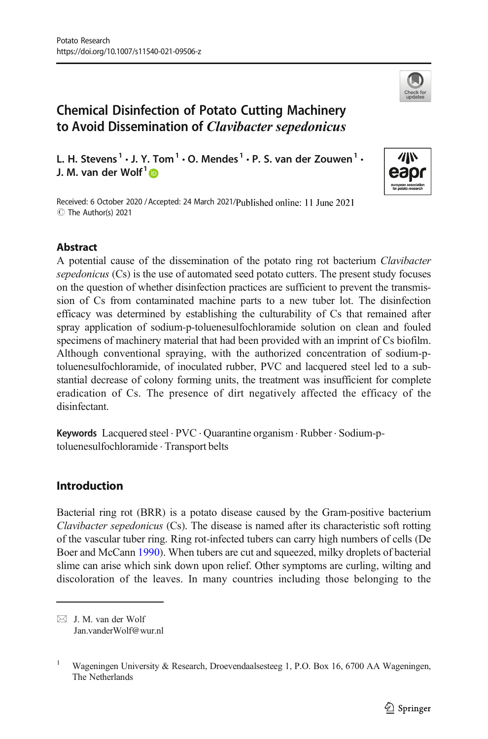

# Chemical Disinfection of Potato Cutting Machinery to Avoid Dissemination of Clavibacter sepedonicus

L. H. Stevens<sup>1</sup>  $\cdot$  J. Y. Tom<sup>1</sup>  $\cdot$  O. Mendes<sup>1</sup>  $\cdot$  P. S. van der Zouwen<sup>1</sup>  $\cdot$ J. M. van der Wolf $1\blacksquare$ 



Received: 6 October 2020 / Accepted: 24 March 2021/Published online: 11 June 2021 C The Author(s) 2021

## **Abstract**

A potential cause of the dissemination of the potato ring rot bacterium Clavibacter sepedonicus (Cs) is the use of automated seed potato cutters. The present study focuses on the question of whether disinfection practices are sufficient to prevent the transmission of Cs from contaminated machine parts to a new tuber lot. The disinfection efficacy was determined by establishing the culturability of Cs that remained after spray application of sodium-p-toluenesulfochloramide solution on clean and fouled specimens of machinery material that had been provided with an imprint of Cs biofilm. Although conventional spraying, with the authorized concentration of sodium-ptoluenesulfochloramide, of inoculated rubber, PVC and lacquered steel led to a substantial decrease of colony forming units, the treatment was insufficient for complete eradication of Cs. The presence of dirt negatively affected the efficacy of the disinfectant.

Keywords Lacquered steel . PVC . Quarantine organism . Rubber . Sodium-ptoluenesulfochloramide . Transport belts

# Introduction

Bacterial ring rot (BRR) is a potato disease caused by the Gram-positive bacterium Clavibacter sepedonicus (Cs). The disease is named after its characteristic soft rotting of the vascular tuber ring. Ring rot-infected tubers can carry high numbers of cells (De Boer and McCann [1990\)](#page-8-0). When tubers are cut and squeezed, milky droplets of bacterial slime can arise which sink down upon relief. Other symptoms are curling, wilting and discoloration of the leaves. In many countries including those belonging to the

 $\boxtimes$  J. M. van der Wolf [Jan.vanderWolf@wur.nl](mailto:Jan.vanderWolf@wur.nl)

<sup>&</sup>lt;sup>1</sup> Wageningen University & Research, Droevendaalsesteeg 1, P.O. Box 16, 6700 AA Wageningen, The Netherlands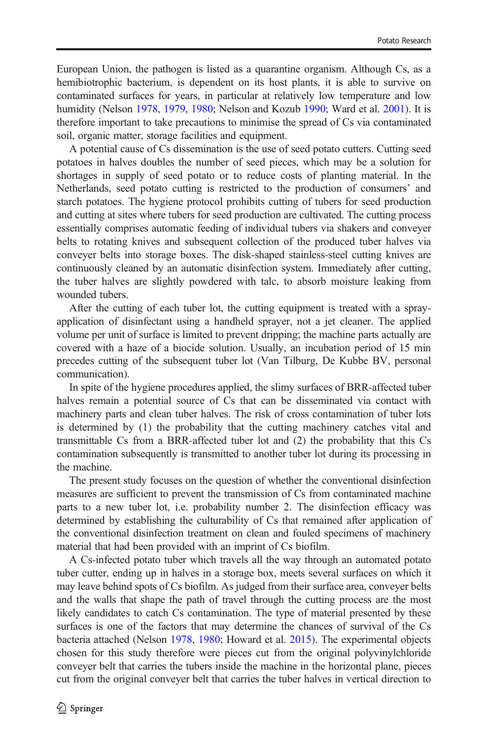European Union, the pathogen is listed as a quarantine organism. Although Cs, as a hemibiotrophic bacterium, is dependent on its host plants, it is able to survive on contaminated surfaces for years, in particular at relatively low temperature and low humidity (Nelson [1978](#page-8-0), [1979,](#page-8-0) [1980;](#page-8-0) Nelson and Kozub [1990](#page-8-0); Ward et al. [2001\)](#page-8-0). It is therefore important to take precautions to minimise the spread of Cs via contaminated soil, organic matter, storage facilities and equipment.

A potential cause of Cs dissemination is the use of seed potato cutters. Cutting seed potatoes in halves doubles the number of seed pieces, which may be a solution for shortages in supply of seed potato or to reduce costs of planting material. In the Netherlands, seed potato cutting is restricted to the production of consumers' and starch potatoes. The hygiene protocol prohibits cutting of tubers for seed production and cutting at sites where tubers for seed production are cultivated. The cutting process essentially comprises automatic feeding of individual tubers via shakers and conveyer belts to rotating knives and subsequent collection of the produced tuber halves via conveyer belts into storage boxes. The disk-shaped stainless-steel cutting knives are continuously cleaned by an automatic disinfection system. Immediately after cutting, the tuber halves are slightly powdered with talc, to absorb moisture leaking from wounded tubers.

After the cutting of each tuber lot, the cutting equipment is treated with a sprayapplication of disinfectant using a handheld sprayer, not a jet cleaner. The applied volume per unit of surface is limited to prevent dripping; the machine parts actually are covered with a haze of a biocide solution. Usually, an incubation period of 15 min precedes cutting of the subsequent tuber lot (Van Tilburg, De Kubbe BV, personal communication).

In spite of the hygiene procedures applied, the slimy surfaces of BRR-affected tuber halves remain a potential source of Cs that can be disseminated via contact with machinery parts and clean tuber halves. The risk of cross contamination of tuber lots is determined by (1) the probability that the cutting machinery catches vital and transmittable Cs from a BRR-affected tuber lot and (2) the probability that this Cs contamination subsequently is transmitted to another tuber lot during its processing in the machine.

The present study focuses on the question of whether the conventional disinfection measures are sufficient to prevent the transmission of Cs from contaminated machine parts to a new tuber lot, i.e. probability number 2. The disinfection efficacy was determined by establishing the culturability of Cs that remained after application of the conventional disinfection treatment on clean and fouled specimens of machinery material that had been provided with an imprint of Cs biofilm.

A Cs-infected potato tuber which travels all the way through an automated potato tuber cutter, ending up in halves in a storage box, meets several surfaces on which it may leave behind spots of Cs biofilm. As judged from their surface area, conveyer belts and the walls that shape the path of travel through the cutting process are the most likely candidates to catch Cs contamination. The type of material presented by these surfaces is one of the factors that may determine the chances of survival of the Cs bacteria attached (Nelson [1978](#page-8-0), [1980](#page-8-0); Howard et al. [2015\)](#page-8-0). The experimental objects chosen for this study therefore were pieces cut from the original polyvinylchloride conveyer belt that carries the tubers inside the machine in the horizontal plane, pieces cut from the original conveyer belt that carries the tuber halves in vertical direction to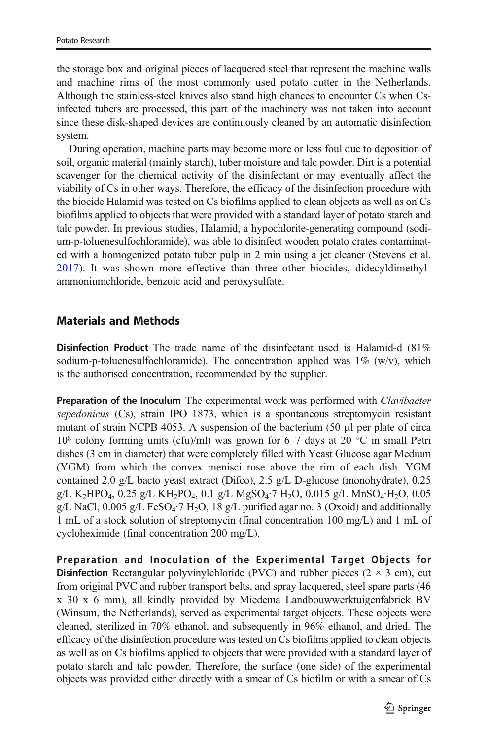the storage box and original pieces of lacquered steel that represent the machine walls and machine rims of the most commonly used potato cutter in the Netherlands. Although the stainless-steel knives also stand high chances to encounter Cs when Csinfected tubers are processed, this part of the machinery was not taken into account since these disk-shaped devices are continuously cleaned by an automatic disinfection system.

During operation, machine parts may become more or less foul due to deposition of soil, organic material (mainly starch), tuber moisture and talc powder. Dirt is a potential scavenger for the chemical activity of the disinfectant or may eventually affect the viability of Cs in other ways. Therefore, the efficacy of the disinfection procedure with the biocide Halamid was tested on Cs biofilms applied to clean objects as well as on Cs biofilms applied to objects that were provided with a standard layer of potato starch and talc powder. In previous studies, Halamid, a hypochlorite-generating compound (sodium-p-toluenesulfochloramide), was able to disinfect wooden potato crates contaminated with a homogenized potato tuber pulp in 2 min using a jet cleaner (Stevens et al. [2017](#page-8-0)). It was shown more effective than three other biocides, didecyldimethylammoniumchloride, benzoic acid and peroxysulfate.

### Materials and Methods

Disinfection Product The trade name of the disinfectant used is Halamid-d (81% sodium-p-toluenesulfochloramide). The concentration applied was  $1\%$  (w/v), which is the authorised concentration, recommended by the supplier.

Preparation of the Inoculum The experimental work was performed with *Clavibacter* sepedonicus (Cs), strain IPO 1873, which is a spontaneous streptomycin resistant mutant of strain NCPB 4053. A suspension of the bacterium (50 μl per plate of circa  $10^8$  colony forming units (cfu)/ml) was grown for 6–7 days at 20 °C in small Petri dishes (3 cm in diameter) that were completely filled with Yeast Glucose agar Medium (YGM) from which the convex menisci rose above the rim of each dish. YGM contained 2.0 g/L bacto yeast extract (Difco), 2.5 g/L D-glucose (monohydrate), 0.25  $g/L$  K<sub>2</sub>HPO<sub>4</sub>, 0.25  $g/L$  KH<sub>2</sub>PO<sub>4</sub>, 0.1  $g/L$  MgSO<sub>4</sub> $\cdot$ 7 H<sub>2</sub>O, 0.015  $g/L$  MnSO<sub>4</sub> $\cdot$ H<sub>2</sub>O, 0.05 g/L NaCl,  $0.005$  g/L FeSO<sub>4</sub> $\cdot$ 7 H<sub>2</sub>O, 18 g/L purified agar no. 3 (Oxoid) and additionally 1 mL of a stock solution of streptomycin (final concentration 100 mg/L) and 1 mL of cycloheximide (final concentration 200 mg/L).

Preparation and Inoculation of the Experimental Target Objects for **Disinfection** Rectangular polyvinylchloride (PVC) and rubber pieces ( $2 \times 3$  cm), cut from original PVC and rubber transport belts, and spray lacquered, steel spare parts (46 x 30 x 6 mm), all kindly provided by Miedema Landbouwwerktuigenfabriek BV (Winsum, the Netherlands), served as experimental target objects. These objects were cleaned, sterilized in 70% ethanol, and subsequently in 96% ethanol, and dried. The efficacy of the disinfection procedure was tested on Cs biofilms applied to clean objects as well as on Cs biofilms applied to objects that were provided with a standard layer of potato starch and talc powder. Therefore, the surface (one side) of the experimental objects was provided either directly with a smear of Cs biofilm or with a smear of Cs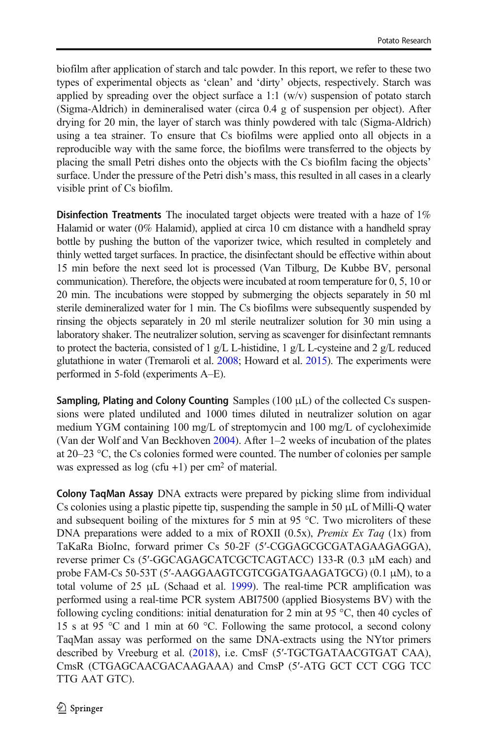biofilm after application of starch and talc powder. In this report, we refer to these two types of experimental objects as 'clean' and 'dirty' objects, respectively. Starch was applied by spreading over the object surface a 1:1  $(w/v)$  suspension of potato starch (Sigma-Aldrich) in demineralised water (circa 0.4 g of suspension per object). After drying for 20 min, the layer of starch was thinly powdered with talc (Sigma-Aldrich) using a tea strainer. To ensure that Cs biofilms were applied onto all objects in a reproducible way with the same force, the biofilms were transferred to the objects by placing the small Petri dishes onto the objects with the Cs biofilm facing the objects' surface. Under the pressure of the Petri dish's mass, this resulted in all cases in a clearly visible print of Cs biofilm.

Disinfection Treatments The inoculated target objects were treated with a haze of 1% Halamid or water (0% Halamid), applied at circa 10 cm distance with a handheld spray bottle by pushing the button of the vaporizer twice, which resulted in completely and thinly wetted target surfaces. In practice, the disinfectant should be effective within about 15 min before the next seed lot is processed (Van Tilburg, De Kubbe BV, personal communication). Therefore, the objects were incubated at room temperature for 0, 5, 10 or 20 min. The incubations were stopped by submerging the objects separately in 50 ml sterile demineralized water for 1 min. The Cs biofilms were subsequently suspended by rinsing the objects separately in 20 ml sterile neutralizer solution for 30 min using a laboratory shaker. The neutralizer solution, serving as scavenger for disinfectant remnants to protect the bacteria, consisted of 1 g/L L-histidine, 1 g/L L-cysteine and 2 g/L reduced glutathione in water (Tremaroli et al. [2008;](#page-8-0) Howard et al. [2015\)](#page-8-0). The experiments were performed in 5-fold (experiments A–E).

Sampling, Plating and Colony Counting Samples  $(100 \mu L)$  of the collected Cs suspensions were plated undiluted and 1000 times diluted in neutralizer solution on agar medium YGM containing 100 mg/L of streptomycin and 100 mg/L of cycloheximide (Van der Wolf and Van Beckhoven [2004\)](#page-8-0). After 1–2 weeks of incubation of the plates at 20–23 °C, the Cs colonies formed were counted. The number of colonies per sample was expressed as  $log (cfu + 1)$  per cm<sup>2</sup> of material.

Colony TaqMan Assay DNA extracts were prepared by picking slime from individual Cs colonies using a plastic pipette tip, suspending the sample in 50  $\mu$ L of Milli-Q water and subsequent boiling of the mixtures for 5 min at 95  $^{\circ}$ C. Two microliters of these DNA preparations were added to a mix of ROXII  $(0.5x)$ , *Premix Ex Taq*  $(1x)$  from TaKaRa BioInc, forward primer Cs 50-2F (5′-CGGAGCGCGATAGAAGAGGA), reverse primer Cs (5′-GGCAGAGCATCGCTCAGTACC) 133-R (0.3 μM each) and probe FAM-Cs 50-53T (5′-AAGGAAGTCGTCGGATGAAGATGCG) (0.1 μM), to a total volume of 25 μL (Schaad et al. [1999](#page-8-0)). The real-time PCR amplification was performed using a real-time PCR system ABI7500 (applied Biosystems BV) with the following cycling conditions: initial denaturation for 2 min at 95  $\degree$ C, then 40 cycles of 15 s at 95 °C and 1 min at 60 °C. Following the same protocol, a second colony TaqMan assay was performed on the same DNA-extracts using the NYtor primers described by Vreeburg et al. [\(2018](#page-8-0)), i.e. CmsF (5′-TGCTGATAACGTGAT CAA), CmsR (CTGAGCAACGACAAGAAA) and CmsP (5′-ATG GCT CCT CGG TCC TTG AAT GTC).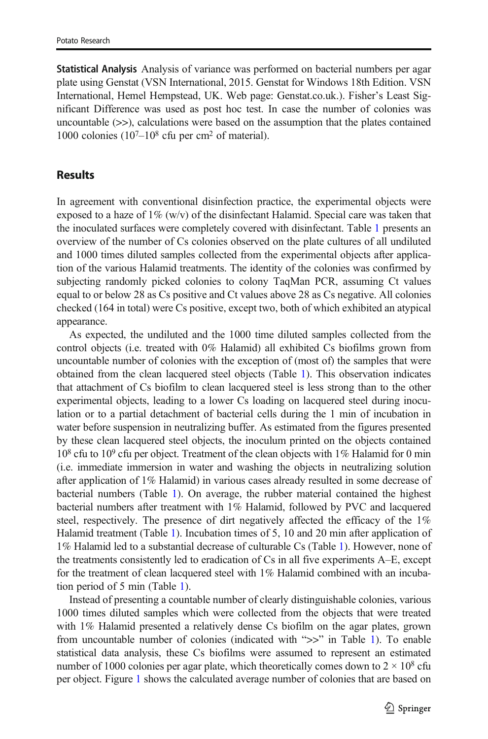Statistical Analysis Analysis of variance was performed on bacterial numbers per agar plate using Genstat (VSN International, 2015. Genstat for Windows 18th Edition. VSN International, Hemel Hempstead, UK. Web page: Genstat.co.uk.). Fisher's Least Significant Difference was used as post hoc test. In case the number of colonies was uncountable  $(\gg)$ , calculations were based on the assumption that the plates contained 1000 colonies  $(10^7 - 10^8 \text{ cftu})$  per cm<sup>2</sup> of material).

#### Results

In agreement with conventional disinfection practice, the experimental objects were exposed to a haze of  $1\%$  (w/v) of the disinfectant Halamid. Special care was taken that the inoculated surfaces were completely covered with disinfectant. Table [1](#page-5-0) presents an overview of the number of Cs colonies observed on the plate cultures of all undiluted and 1000 times diluted samples collected from the experimental objects after application of the various Halamid treatments. The identity of the colonies was confirmed by subjecting randomly picked colonies to colony TaqMan PCR, assuming Ct values equal to or below 28 as Cs positive and Ct values above 28 as Cs negative. All colonies checked (164 in total) were Cs positive, except two, both of which exhibited an atypical appearance.

As expected, the undiluted and the 1000 time diluted samples collected from the control objects (i.e. treated with 0% Halamid) all exhibited Cs biofilms grown from uncountable number of colonies with the exception of (most of) the samples that were obtained from the clean lacquered steel objects (Table [1\)](#page-5-0). This observation indicates that attachment of Cs biofilm to clean lacquered steel is less strong than to the other experimental objects, leading to a lower Cs loading on lacquered steel during inoculation or to a partial detachment of bacterial cells during the 1 min of incubation in water before suspension in neutralizing buffer. As estimated from the figures presented by these clean lacquered steel objects, the inoculum printed on the objects contained  $10^8$  cfu to  $10^9$  cfu per object. Treatment of the clean objects with  $1\%$  Halamid for 0 min (i.e. immediate immersion in water and washing the objects in neutralizing solution after application of 1% Halamid) in various cases already resulted in some decrease of bacterial numbers (Table [1\)](#page-5-0). On average, the rubber material contained the highest bacterial numbers after treatment with 1% Halamid, followed by PVC and lacquered steel, respectively. The presence of dirt negatively affected the efficacy of the 1% Halamid treatment (Table [1\)](#page-5-0). Incubation times of 5, 10 and 20 min after application of 1% Halamid led to a substantial decrease of culturable Cs (Table [1](#page-5-0)). However, none of the treatments consistently led to eradication of Cs in all five experiments A–E, except for the treatment of clean lacquered steel with 1% Halamid combined with an incubation period of 5 min (Table [1\)](#page-5-0).

Instead of presenting a countable number of clearly distinguishable colonies, various 1000 times diluted samples which were collected from the objects that were treated with 1% Halamid presented a relatively dense Cs biofilm on the agar plates, grown from uncountable number of colonies (indicated with ">>" in Table [1](#page-5-0)). To enable statistical data analysis, these Cs biofilms were assumed to represent an estimated number of 1000 colonies per agar plate, which theoretically comes down to  $2 \times 10^8$  cfu per object. Figure [1](#page-6-0) shows the calculated average number of colonies that are based on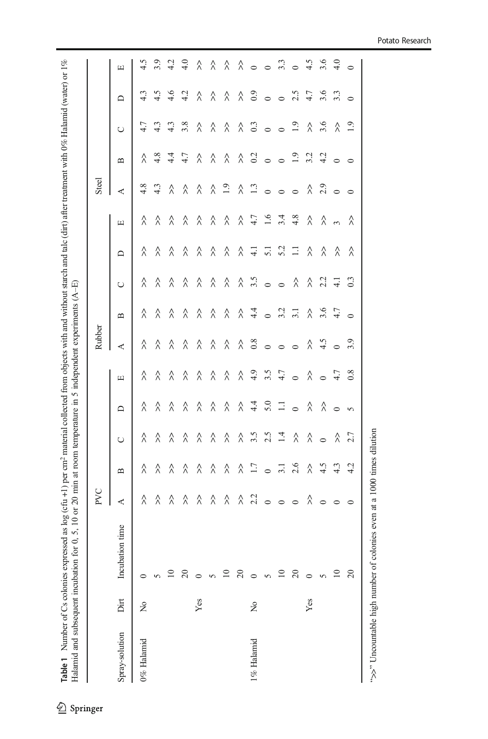<span id="page-5-0"></span>**Table 1** Number of Cs colonies expressed as log (cfu +1) per cm<sup>2</sup> material collected from objects with and without starch and talc (dirt) after treatment with 0% Halamid (water) or 1% Halamid and subsequent incubation f Table 1 Number of Cs colonies expressed as log (cfu +1) per cm2 material collected from objects with and without starch and talc (dirt) after treatment with 0% Halamid (water) or 1% Halamid and subsequent incubation for 0, 5, 10 or 20 min at room temperature in 5 independent experiments (A–E)

| 4.8<br>4.3<br>$\overline{1.9}$<br>$\ddot{1}$<br>$\lambda$ $\stackrel{9}{\sim}$ $\circ$<br>$\stackrel{\wedge}{\scriptstyle\wedge}$<br>$\stackrel{\wedge}{\wedge}$<br>$\hat{\lambda}$<br>$\hat{\wedge}$<br>$\hat{\wedge}$<br>$\circ$<br>$\circ$<br>$\circ$<br>⋖<br>4.7<br>1.6<br>4.8<br>3.4<br>$\stackrel{\wedge}{\scriptstyle\wedge}$<br>$\hat{\wedge}$<br>$\stackrel{\wedge}{\wedge}$<br>$\hat{\wedge}$<br>$\hat{\wedge}$<br>$\hat{\wedge}$<br>$\hat{\wedge}$<br>$\hat{\wedge}$<br>λ<br>$\hat{\lambda}$<br>$\sim$<br>$\boxed{\phantom{1}}$<br>5.2<br>$\hat{\wedge}$<br>$\Box$<br>$\hat{\lambda}$<br>$\hat{\wedge}$<br>$\hat{\wedge}$<br>$\hat{\wedge}$<br>$\frac{1}{4}$ 5.1<br>$\hat{\wedge}$<br>$\hat{\wedge}$<br>$\hat{\lambda}$<br>λ<br>λ<br>λ<br>$\Box$<br>$\lambda$ $\stackrel{.6}{\sim}$ 0<br>$\lambda$ 2.2<br>$\hat{\wedge}$<br>$\overline{4}$<br>λ<br>λ<br>λ<br>λ<br>λ<br>$\hat{\wedge}$<br>λ<br>$\circ$<br>$\cup$<br>$\lambda$ $\frac{4}{9}$ $\frac{6}{9}$ $\frac{7}{9}$ $\frac{7}{9}$<br>$267$<br>$3.5$<br>$\hat{\wedge}$<br>$\hat{\wedge}$<br>$\hat{\wedge}$<br>$\hat{\wedge}$<br>$\hat{\wedge}$<br>$\hat{\wedge}$<br>$\hat{\wedge}$<br>$\mathbf{u}$<br>$\lambda$ $\frac{8}{9}$ 0<br>$\begin{matrix} 2 & 4 \\ 4 & 5 \end{matrix}$<br>$\stackrel{\wedge}{\wedge}$<br>$\hat{\wedge}$<br>$\hat{\wedge}$<br>$\hat{\lambda}$<br>$\hat{\wedge}$<br>λ<br>λ<br>$\circ$<br>$\circ$<br>$\circ$<br>⋖<br>$\begin{array}{ccccccccc}\n\mathbf{\hat{u}} & \mathbf{\hat{v}} & \mathbf{\hat{v}} & \mathbf{\hat{v}} & \mathbf{\hat{v}} & \mathbf{\hat{v}} & \mathbf{\hat{v}} & \mathbf{\hat{v}} & \mathbf{\hat{v}} & \mathbf{\hat{v}} & \mathbf{\hat{v}} & \mathbf{\hat{v}} & \mathbf{\hat{v}} & \mathbf{\hat{v}} & \mathbf{\hat{v}} & \mathbf{\hat{v}} & \mathbf{\hat{v}} & \mathbf{\hat{v}} & \mathbf{\hat{v}} & \mathbf{\hat{v}} & \mathbf{\hat{v}} & \mathbf{\hat{v}} & \mathbf{\hat{v}} & \mathbf$<br>$\hat{\wedge}$<br>$\lambda$<br>λ<br>λ<br>$\lambda$<br>$\lambda$<br>λ<br>λ<br>$\boxed{\phantom{1}}$<br>$\sqrt[3]{4}$ 20<br>$\stackrel{\wedge}{\wedge}$<br>$\Box$<br>$\hat{\wedge}$<br>$\hat{\wedge}$<br>$\hat{\wedge}$<br>$\hat{\wedge}$<br>$\hat{\wedge}$<br>λ<br>$\lambda$ $\lambda$<br>$\circ$<br>$\circ$<br>$\Box$<br>$3.5$<br>2.5<br>$\overline{14}$<br>$\frac{2}{2}$<br>$\stackrel{\wedge}{\wedge}$<br>$\hat{\lambda}$<br>$\hat{\wedge}$<br>$\hat{\wedge}$<br>$\hat{\wedge}$<br>$\hat{\lambda}$<br>λ<br>λ<br>λ<br>λ<br>$\circ$<br>$\cup$<br>$\lambda$ $\Xi$ $\circ$ $\Xi$ $\Omega$<br>$\ddot{5}$<br>4.3<br>λ<br>λ<br>λ<br>λ<br>λ<br>λ<br>$\hat{\lambda}$<br>λ<br>$\mathbf{\underline{\mathsf{m}}}$<br>$\begin{array}{c} \wedge & \wedge \\ \wedge & \wedge \end{array} \circ \circ \circ \circ \wedge \circ$<br>$\hat{\wedge}$<br>$\hat{\wedge}$<br>λ<br>$\hat{\lambda}$<br>$\hat{\wedge}$<br>$\hat{\wedge}$<br>$\lambda$<br>⋖<br>$\circ$<br>Incubation time<br>$\overline{10}$<br>20<br>$\Xi$<br>$\overline{c}$<br>$\approx$<br>$\overline{c}$<br>$\Xi$<br>$\circ$<br>$\sqrt{2}$<br>$\circ$<br>$\circ$<br>$\overline{2}$<br>$\sqrt{2}$<br>Dirt<br>Yes<br>Yes<br>$\tilde{z}$<br>$\mathsf{S}^{\mathsf{O}}$<br>Spray-solution<br>1% Halamid<br>0% Halamid |  | PVC     |     |          | Rubber |         |                |  | Steel   |                                         |                                         |                     |                          |
|------------------------------------------------------------------------------------------------------------------------------------------------------------------------------------------------------------------------------------------------------------------------------------------------------------------------------------------------------------------------------------------------------------------------------------------------------------------------------------------------------------------------------------------------------------------------------------------------------------------------------------------------------------------------------------------------------------------------------------------------------------------------------------------------------------------------------------------------------------------------------------------------------------------------------------------------------------------------------------------------------------------------------------------------------------------------------------------------------------------------------------------------------------------------------------------------------------------------------------------------------------------------------------------------------------------------------------------------------------------------------------------------------------------------------------------------------------------------------------------------------------------------------------------------------------------------------------------------------------------------------------------------------------------------------------------------------------------------------------------------------------------------------------------------------------------------------------------------------------------------------------------------------------------------------------------------------------------------------------------------------------------------------------------------------------------------------------------------------------------------------------------------------------------------------------------------------------------------------------------------------------------------------------------------------------------------------------------------------------------------------------------------------------------------------------------------------------------------------------------------------------------------------------------------------------------------------------------------------------------------------------------------------------------------------------------------------------------------------------------------------------------------------------------------------------------------------------------------------------------------------------------------------------------------------------------------------------------------------------------------------------------------------------------------------------------------------------------------------------------------------------------------------------------|--|---------|-----|----------|--------|---------|----------------|--|---------|-----------------------------------------|-----------------------------------------|---------------------|--------------------------|
|                                                                                                                                                                                                                                                                                                                                                                                                                                                                                                                                                                                                                                                                                                                                                                                                                                                                                                                                                                                                                                                                                                                                                                                                                                                                                                                                                                                                                                                                                                                                                                                                                                                                                                                                                                                                                                                                                                                                                                                                                                                                                                                                                                                                                                                                                                                                                                                                                                                                                                                                                                                                                                                                                                                                                                                                                                                                                                                                                                                                                                                                                                                                                                  |  |         |     |          |        |         |                |  |         | $\mathbf{u}$                            | $\cup$                                  | $\Box$              | $\boxed{\phantom{a}}$    |
|                                                                                                                                                                                                                                                                                                                                                                                                                                                                                                                                                                                                                                                                                                                                                                                                                                                                                                                                                                                                                                                                                                                                                                                                                                                                                                                                                                                                                                                                                                                                                                                                                                                                                                                                                                                                                                                                                                                                                                                                                                                                                                                                                                                                                                                                                                                                                                                                                                                                                                                                                                                                                                                                                                                                                                                                                                                                                                                                                                                                                                                                                                                                                                  |  |         |     |          |        |         |                |  |         | λ                                       | 4.7                                     | 4.3                 | 4.5                      |
|                                                                                                                                                                                                                                                                                                                                                                                                                                                                                                                                                                                                                                                                                                                                                                                                                                                                                                                                                                                                                                                                                                                                                                                                                                                                                                                                                                                                                                                                                                                                                                                                                                                                                                                                                                                                                                                                                                                                                                                                                                                                                                                                                                                                                                                                                                                                                                                                                                                                                                                                                                                                                                                                                                                                                                                                                                                                                                                                                                                                                                                                                                                                                                  |  |         |     |          |        |         |                |  |         | 4.8                                     | 4.3                                     | 4.5                 | 3.9                      |
|                                                                                                                                                                                                                                                                                                                                                                                                                                                                                                                                                                                                                                                                                                                                                                                                                                                                                                                                                                                                                                                                                                                                                                                                                                                                                                                                                                                                                                                                                                                                                                                                                                                                                                                                                                                                                                                                                                                                                                                                                                                                                                                                                                                                                                                                                                                                                                                                                                                                                                                                                                                                                                                                                                                                                                                                                                                                                                                                                                                                                                                                                                                                                                  |  |         |     |          |        |         |                |  |         | $\frac{4}{4}$                           | 4.3                                     | 4.6                 | 4.2                      |
|                                                                                                                                                                                                                                                                                                                                                                                                                                                                                                                                                                                                                                                                                                                                                                                                                                                                                                                                                                                                                                                                                                                                                                                                                                                                                                                                                                                                                                                                                                                                                                                                                                                                                                                                                                                                                                                                                                                                                                                                                                                                                                                                                                                                                                                                                                                                                                                                                                                                                                                                                                                                                                                                                                                                                                                                                                                                                                                                                                                                                                                                                                                                                                  |  |         |     |          |        |         |                |  |         | 4.7                                     | 3.8                                     | 4.2                 | $\frac{6}{4}$            |
|                                                                                                                                                                                                                                                                                                                                                                                                                                                                                                                                                                                                                                                                                                                                                                                                                                                                                                                                                                                                                                                                                                                                                                                                                                                                                                                                                                                                                                                                                                                                                                                                                                                                                                                                                                                                                                                                                                                                                                                                                                                                                                                                                                                                                                                                                                                                                                                                                                                                                                                                                                                                                                                                                                                                                                                                                                                                                                                                                                                                                                                                                                                                                                  |  |         |     |          |        |         |                |  |         | $\hat{\wedge}$                          | $\hat{\wedge}$                          | $\hat{\wedge}$      | λ                        |
|                                                                                                                                                                                                                                                                                                                                                                                                                                                                                                                                                                                                                                                                                                                                                                                                                                                                                                                                                                                                                                                                                                                                                                                                                                                                                                                                                                                                                                                                                                                                                                                                                                                                                                                                                                                                                                                                                                                                                                                                                                                                                                                                                                                                                                                                                                                                                                                                                                                                                                                                                                                                                                                                                                                                                                                                                                                                                                                                                                                                                                                                                                                                                                  |  |         |     |          |        |         |                |  |         | $\hat{\wedge}$                          | $\stackrel{\wedge}{\scriptstyle\wedge}$ | $\hat{\wedge}$      | $\lambda$                |
|                                                                                                                                                                                                                                                                                                                                                                                                                                                                                                                                                                                                                                                                                                                                                                                                                                                                                                                                                                                                                                                                                                                                                                                                                                                                                                                                                                                                                                                                                                                                                                                                                                                                                                                                                                                                                                                                                                                                                                                                                                                                                                                                                                                                                                                                                                                                                                                                                                                                                                                                                                                                                                                                                                                                                                                                                                                                                                                                                                                                                                                                                                                                                                  |  |         |     |          |        |         |                |  |         | $\stackrel{\wedge}{\scriptstyle\wedge}$ | $\hat{\wedge}$                          | $\hat{\wedge}$      | λ                        |
|                                                                                                                                                                                                                                                                                                                                                                                                                                                                                                                                                                                                                                                                                                                                                                                                                                                                                                                                                                                                                                                                                                                                                                                                                                                                                                                                                                                                                                                                                                                                                                                                                                                                                                                                                                                                                                                                                                                                                                                                                                                                                                                                                                                                                                                                                                                                                                                                                                                                                                                                                                                                                                                                                                                                                                                                                                                                                                                                                                                                                                                                                                                                                                  |  |         |     |          |        |         |                |  |         |                                         | $\stackrel{\wedge}{\wedge}$             |                     |                          |
|                                                                                                                                                                                                                                                                                                                                                                                                                                                                                                                                                                                                                                                                                                                                                                                                                                                                                                                                                                                                                                                                                                                                                                                                                                                                                                                                                                                                                                                                                                                                                                                                                                                                                                                                                                                                                                                                                                                                                                                                                                                                                                                                                                                                                                                                                                                                                                                                                                                                                                                                                                                                                                                                                                                                                                                                                                                                                                                                                                                                                                                                                                                                                                  |  |         |     |          |        |         |                |  |         |                                         | $0.\overline{3}$                        | $\lambda$ 3 $\circ$ |                          |
|                                                                                                                                                                                                                                                                                                                                                                                                                                                                                                                                                                                                                                                                                                                                                                                                                                                                                                                                                                                                                                                                                                                                                                                                                                                                                                                                                                                                                                                                                                                                                                                                                                                                                                                                                                                                                                                                                                                                                                                                                                                                                                                                                                                                                                                                                                                                                                                                                                                                                                                                                                                                                                                                                                                                                                                                                                                                                                                                                                                                                                                                                                                                                                  |  |         |     |          |        |         |                |  |         |                                         | $\circ$                                 |                     |                          |
|                                                                                                                                                                                                                                                                                                                                                                                                                                                                                                                                                                                                                                                                                                                                                                                                                                                                                                                                                                                                                                                                                                                                                                                                                                                                                                                                                                                                                                                                                                                                                                                                                                                                                                                                                                                                                                                                                                                                                                                                                                                                                                                                                                                                                                                                                                                                                                                                                                                                                                                                                                                                                                                                                                                                                                                                                                                                                                                                                                                                                                                                                                                                                                  |  |         |     |          |        |         |                |  |         |                                         | $\circ$                                 |                     | $\lambda$ o o $\ddot{m}$ |
|                                                                                                                                                                                                                                                                                                                                                                                                                                                                                                                                                                                                                                                                                                                                                                                                                                                                                                                                                                                                                                                                                                                                                                                                                                                                                                                                                                                                                                                                                                                                                                                                                                                                                                                                                                                                                                                                                                                                                                                                                                                                                                                                                                                                                                                                                                                                                                                                                                                                                                                                                                                                                                                                                                                                                                                                                                                                                                                                                                                                                                                                                                                                                                  |  |         |     |          |        |         |                |  |         | $\lambda$ 3 $\circ$ $\circ$ 3           | $\ddot{0}$                              | 0.555300            | $\circ$                  |
|                                                                                                                                                                                                                                                                                                                                                                                                                                                                                                                                                                                                                                                                                                                                                                                                                                                                                                                                                                                                                                                                                                                                                                                                                                                                                                                                                                                                                                                                                                                                                                                                                                                                                                                                                                                                                                                                                                                                                                                                                                                                                                                                                                                                                                                                                                                                                                                                                                                                                                                                                                                                                                                                                                                                                                                                                                                                                                                                                                                                                                                                                                                                                                  |  |         |     |          |        |         |                |  |         | $3.\overline{3}$<br>$4.\overline{2}$    |                                         |                     |                          |
|                                                                                                                                                                                                                                                                                                                                                                                                                                                                                                                                                                                                                                                                                                                                                                                                                                                                                                                                                                                                                                                                                                                                                                                                                                                                                                                                                                                                                                                                                                                                                                                                                                                                                                                                                                                                                                                                                                                                                                                                                                                                                                                                                                                                                                                                                                                                                                                                                                                                                                                                                                                                                                                                                                                                                                                                                                                                                                                                                                                                                                                                                                                                                                  |  |         |     |          |        |         |                |  |         |                                         | $\lambda$ 5.6                           |                     | $4.5$<br>$4.6$<br>$4.0$  |
|                                                                                                                                                                                                                                                                                                                                                                                                                                                                                                                                                                                                                                                                                                                                                                                                                                                                                                                                                                                                                                                                                                                                                                                                                                                                                                                                                                                                                                                                                                                                                                                                                                                                                                                                                                                                                                                                                                                                                                                                                                                                                                                                                                                                                                                                                                                                                                                                                                                                                                                                                                                                                                                                                                                                                                                                                                                                                                                                                                                                                                                                                                                                                                  |  |         |     |          |        |         |                |  |         | $\circ$                                 | $\hat{\wedge}$                          |                     |                          |
| $\hat{\lambda}$<br>λ<br>$\overline{c}$                                                                                                                                                                                                                                                                                                                                                                                                                                                                                                                                                                                                                                                                                                                                                                                                                                                                                                                                                                                                                                                                                                                                                                                                                                                                                                                                                                                                                                                                                                                                                                                                                                                                                                                                                                                                                                                                                                                                                                                                                                                                                                                                                                                                                                                                                                                                                                                                                                                                                                                                                                                                                                                                                                                                                                                                                                                                                                                                                                                                                                                                                                                           |  | $\circ$ | 4.2 | $\sigma$ | 3.9    | $\circ$ | $\overline{0}$ |  | $\circ$ | $\circ$                                 | 1.9                                     |                     | $\circ$                  |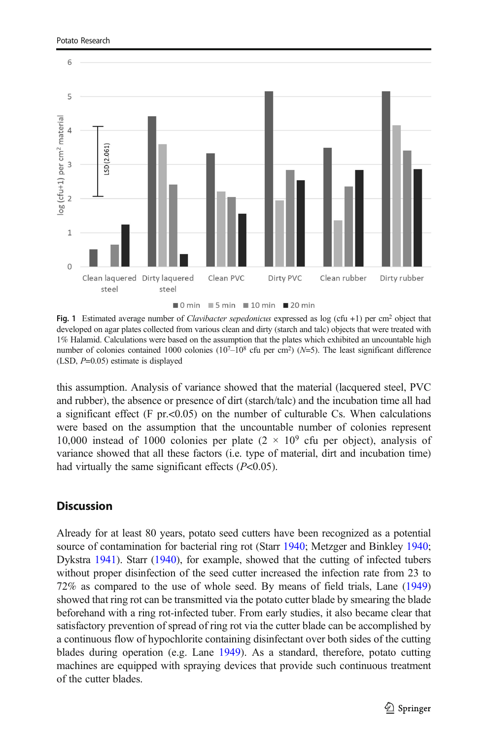<span id="page-6-0"></span>

Fig. 1 Estimated average number of *Clavibacter sepedonicus* expressed as log (cfu +1) per cm<sup>2</sup> object that developed on agar plates collected from various clean and dirty (starch and talc) objects that were treated with 1% Halamid. Calculations were based on the assumption that the plates which exhibited an uncountable high number of colonies contained 1000 colonies ( $10^{7}-10^{8}$  cfu per cm<sup>2</sup>) ( $N=5$ ). The least significant difference (LSD, P=0.05) estimate is displayed

this assumption. Analysis of variance showed that the material (lacquered steel, PVC and rubber), the absence or presence of dirt (starch/talc) and the incubation time all had a significant effect  $(F \text{ pr.} < 0.05)$  on the number of culturable Cs. When calculations were based on the assumption that the uncountable number of colonies represent 10,000 instead of 1000 colonies per plate  $(2 \times 10^9)$  cfu per object), analysis of variance showed that all these factors (i.e. type of material, dirt and incubation time) had virtually the same significant effects  $(P<0.05)$ .

#### **Discussion**

Already for at least 80 years, potato seed cutters have been recognized as a potential source of contamination for bacterial ring rot (Starr [1940;](#page-8-0) Metzger and Binkley [1940;](#page-8-0) Dykstra [1941\)](#page-8-0). Starr [\(1940\)](#page-8-0), for example, showed that the cutting of infected tubers without proper disinfection of the seed cutter increased the infection rate from 23 to 72% as compared to the use of whole seed. By means of field trials, Lane ([1949](#page-8-0)) showed that ring rot can be transmitted via the potato cutter blade by smearing the blade beforehand with a ring rot-infected tuber. From early studies, it also became clear that satisfactory prevention of spread of ring rot via the cutter blade can be accomplished by a continuous flow of hypochlorite containing disinfectant over both sides of the cutting blades during operation (e.g. Lane [1949\)](#page-8-0). As a standard, therefore, potato cutting machines are equipped with spraying devices that provide such continuous treatment of the cutter blades.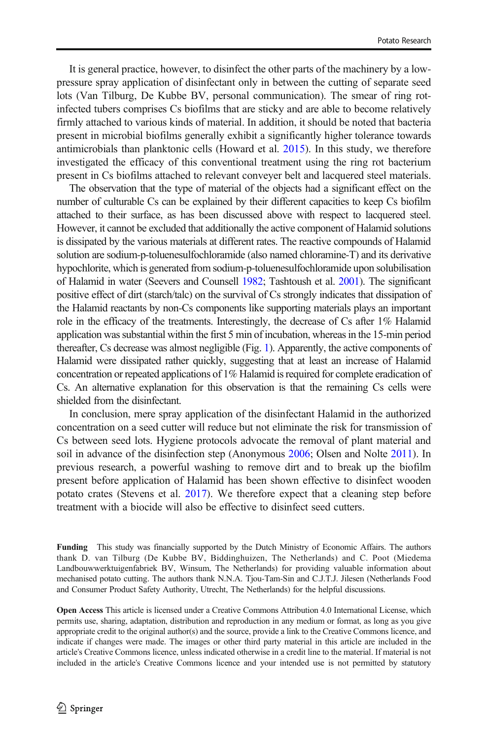It is general practice, however, to disinfect the other parts of the machinery by a lowpressure spray application of disinfectant only in between the cutting of separate seed lots (Van Tilburg, De Kubbe BV, personal communication). The smear of ring rotinfected tubers comprises Cs biofilms that are sticky and are able to become relatively firmly attached to various kinds of material. In addition, it should be noted that bacteria present in microbial biofilms generally exhibit a significantly higher tolerance towards antimicrobials than planktonic cells (Howard et al. [2015\)](#page-8-0). In this study, we therefore investigated the efficacy of this conventional treatment using the ring rot bacterium present in Cs biofilms attached to relevant conveyer belt and lacquered steel materials.

The observation that the type of material of the objects had a significant effect on the number of culturable Cs can be explained by their different capacities to keep Cs biofilm attached to their surface, as has been discussed above with respect to lacquered steel. However, it cannot be excluded that additionally the active component of Halamid solutions is dissipated by the various materials at different rates. The reactive compounds of Halamid solution are sodium-p-toluenesulfochloramide (also named chloramine-T) and its derivative hypochlorite, which is generated from sodium-p-toluenesulfochloramide upon solubilisation of Halamid in water (Seevers and Counsell [1982;](#page-8-0) Tashtoush et al. [2001\)](#page-8-0). The significant positive effect of dirt (starch/talc) on the survival of Cs strongly indicates that dissipation of the Halamid reactants by non-Cs components like supporting materials plays an important role in the efficacy of the treatments. Interestingly, the decrease of Cs after 1% Halamid application was substantial within the first 5 min of incubation, whereas in the 15-min period thereafter, Cs decrease was almost negligible (Fig. [1\)](#page-6-0). Apparently, the active components of Halamid were dissipated rather quickly, suggesting that at least an increase of Halamid concentration or repeated applications of 1% Halamid is required for complete eradication of Cs. An alternative explanation for this observation is that the remaining Cs cells were shielded from the disinfectant.

In conclusion, mere spray application of the disinfectant Halamid in the authorized concentration on a seed cutter will reduce but not eliminate the risk for transmission of Cs between seed lots. Hygiene protocols advocate the removal of plant material and soil in advance of the disinfection step (Anonymous [2006](#page-8-0); Olsen and Nolte [2011\)](#page-8-0). In previous research, a powerful washing to remove dirt and to break up the biofilm present before application of Halamid has been shown effective to disinfect wooden potato crates (Stevens et al. [2017](#page-8-0)). We therefore expect that a cleaning step before treatment with a biocide will also be effective to disinfect seed cutters.

Funding This study was financially supported by the Dutch Ministry of Economic Affairs. The authors thank D. van Tilburg (De Kubbe BV, Biddinghuizen, The Netherlands) and C. Poot (Miedema Landbouwwerktuigenfabriek BV, Winsum, The Netherlands) for providing valuable information about mechanised potato cutting. The authors thank N.N.A. Tjou-Tam-Sin and C.J.T.J. Jilesen (Netherlands Food and Consumer Product Safety Authority, Utrecht, The Netherlands) for the helpful discussions.

Open Access This article is licensed under a Creative Commons Attribution 4.0 International License, which permits use, sharing, adaptation, distribution and reproduction in any medium or format, as long as you give appropriate credit to the original author(s) and the source, provide a link to the Creative Commons licence, and indicate if changes were made. The images or other third party material in this article are included in the article's Creative Commons licence, unless indicated otherwise in a credit line to the material. If material is not included in the article's Creative Commons licence and your intended use is not permitted by statutory